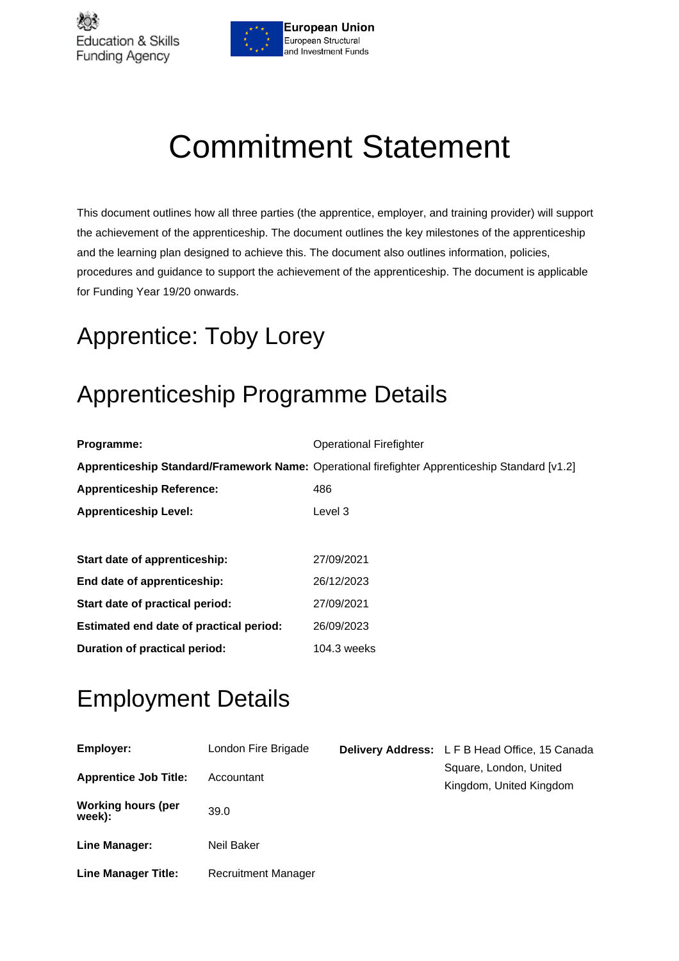

# Commitment Statement

This document outlines how all three parties (the apprentice, employer, and training provider) will support the achievement of the apprenticeship. The document outlines the key milestones of the apprenticeship and the learning plan designed to achieve this. The document also outlines information, policies, procedures and guidance to support the achievement of the apprenticeship. The document is applicable for Funding Year 19/20 onwards.

## Apprentice: Toby Lorey

## Apprenticeship Programme Details

| Programme:                              | <b>Operational Firefighter</b>                                                                 |
|-----------------------------------------|------------------------------------------------------------------------------------------------|
|                                         | Apprenticeship Standard/Framework Name: Operational firefighter Apprenticeship Standard [v1.2] |
| <b>Apprenticeship Reference:</b>        | 486                                                                                            |
| <b>Apprenticeship Level:</b>            | Level 3                                                                                        |
|                                         |                                                                                                |
| Start date of apprenticeship:           | 27/09/2021                                                                                     |
| End date of apprenticeship:             | 26/12/2023                                                                                     |
| Start date of practical period:         | 27/09/2021                                                                                     |
| Estimated end date of practical period: | 26/09/2023                                                                                     |
| Duration of practical period:           | 104.3 weeks                                                                                    |

## Employment Details

| <b>Employer:</b>                    | London Fire Brigade        | <b>Delivery Address:</b> L F B Head Office, 15 Canada |
|-------------------------------------|----------------------------|-------------------------------------------------------|
| <b>Apprentice Job Title:</b>        | Accountant                 | Square, London, United<br>Kingdom, United Kingdom     |
| <b>Working hours (per</b><br>week): | 39.0                       |                                                       |
| Line Manager:                       | Neil Baker                 |                                                       |
| <b>Line Manager Title:</b>          | <b>Recruitment Manager</b> |                                                       |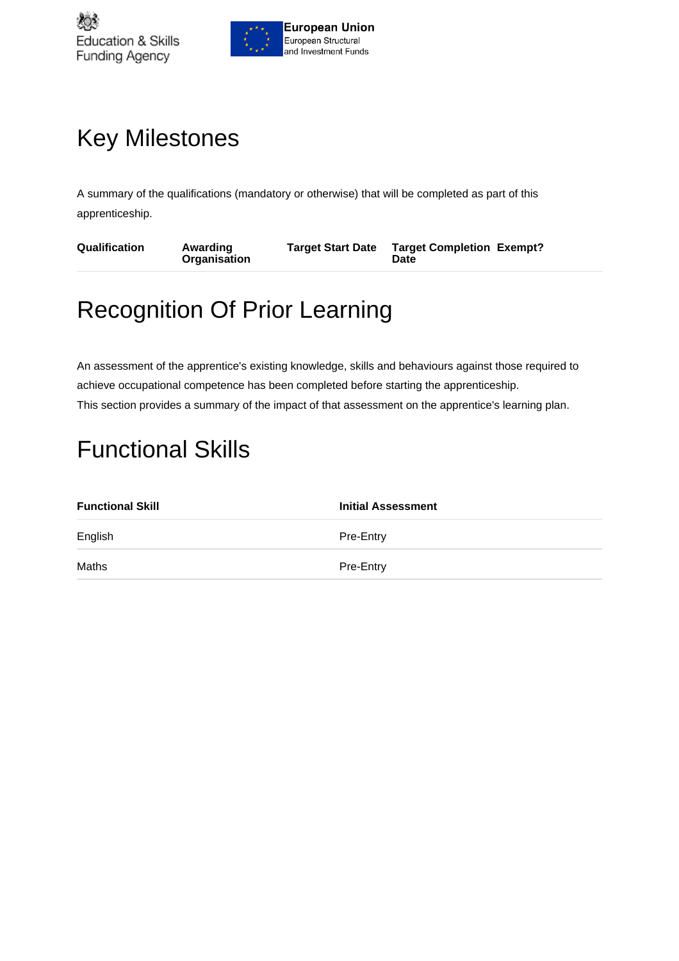

## Key Milestones

A summary of the qualifications (mandatory or otherwise) that will be completed as part of this apprenticeship.

| <b>Qualification</b><br><b>Target Start Date</b><br>Awarding<br><b>Organisation</b><br>Date | <b>Target Completion Exempt?</b> |
|---------------------------------------------------------------------------------------------|----------------------------------|
|---------------------------------------------------------------------------------------------|----------------------------------|

## Recognition Of Prior Learning

An assessment of the apprentice's existing knowledge, skills and behaviours against those required to achieve occupational competence has been completed before starting the apprenticeship. This section provides a summary of the impact of that assessment on the apprentice's learning plan.

## Functional Skills

| <b>Functional Skill</b> | <b>Initial Assessment</b> |
|-------------------------|---------------------------|
| English                 | Pre-Entry                 |
| Maths                   | Pre-Entry                 |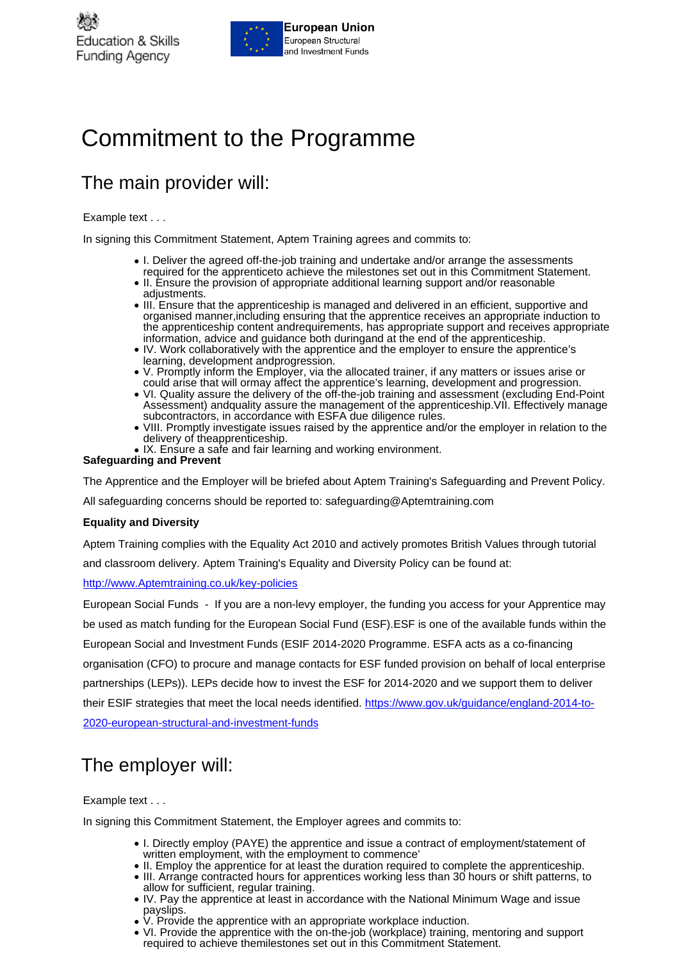

### Commitment to the Programme

### The main provider will:

#### Example text . . .

In signing this Commitment Statement, Aptem Training agrees and commits to:

- I. Deliver the agreed off-the-job training and undertake and/or arrange the assessments required for the apprenticeto achieve the milestones set out in this Commitment Statement.
- II. Ensure the provision of appropriate additional learning support and/or reasonable adjustments.
- III. Ensure that the apprenticeship is managed and delivered in an efficient, supportive and organised manner,including ensuring that the apprentice receives an appropriate induction to the apprenticeship content andrequirements, has appropriate support and receives appropriate information, advice and guidance both duringand at the end of the apprenticeship.
- IV. Work collaboratively with the apprentice and the employer to ensure the apprentice's learning, development andprogression.
- V. Promptly inform the Employer, via the allocated trainer, if any matters or issues arise or ● V. Promptly inform the Employer, via the allocated trainer, if any matters or issues arise o<br>…could arise that will ormay affect the apprentice's learning, development and progression.
- VI. Quality assure the delivery of the off-the-job training and assessment (excluding End-Point Assessment) andquality assure the management of the apprenticeship.VII. Effectively manage subcontractors, in accordance with ESFA due diligence rules.
- VIII. Promptly investigate issues raised by the apprentice and/or the employer in relation to the delivery of theapprenticeship.
- IX. Ensure a safe and fair learning and working environment.

**Safeguarding and Prevent**

The Apprentice and the Employer will be briefed about Aptem Training's Safeguarding and Prevent Policy.

All safeguarding concerns should be reported to: safeguarding@Aptemtraining.com

#### **Equality and Diversity**

Aptem Training complies with the Equality Act 2010 and actively promotes British Values through tutorial and classroom delivery. Aptem Training's Equality and Diversity Policy can be found at:

#### <http://www.Aptemtraining.co.uk/key-policies>

European Social Funds - If you are a non-levy employer, the funding you access for your Apprentice may be used as match funding for the European Social Fund (ESF).ESF is one of the available funds within the European Social and Investment Funds (ESIF 2014-2020 Programme. ESFA acts as a co-financing organisation (CFO) to procure and manage contacts for ESF funded provision on behalf of local enterprise partnerships (LEPs)). LEPs decide how to invest the ESF for 2014-2020 and we support them to deliver their ESIF strategies that meet the local needs identified. [https://www.gov.uk/guidance/england-2014-to-](https://www.gov.uk/guidance/england-2014-to-2020-european-structural-and-investment-funds)[2020-european-structural-and-investment-funds](https://www.gov.uk/guidance/england-2014-to-2020-european-structural-and-investment-funds)

#### The employer will:

#### Example text . . .

In signing this Commitment Statement, the Employer agrees and commits to:

- I. Directly employ (PAYE) the apprentice and issue a contract of employment/statement of written employment, with the employment to commence'
- II. Employ the apprentice for at least the duration required to complete the apprenticeship.
- III. Arrange contracted hours for apprentices working less than 30 hours or shift patterns, to allow for sufficient, regular training.
- IV. Pay the apprentice at least in accordance with the National Minimum Wage and issue payslips.
- V. Provide the apprentice with an appropriate workplace induction.
- VI. Provide the apprentice with the on-the-job (workplace) training, mentoring and support required to achieve themilestones set out in this Commitment Statement.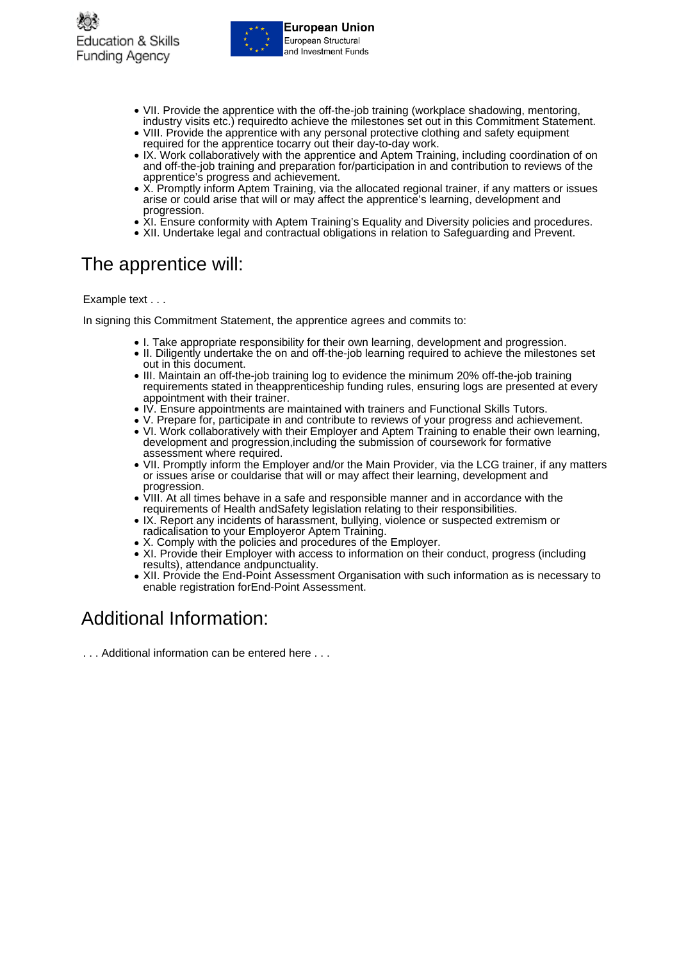

- VII. Provide the apprentice with the off-the-job training (workplace shadowing, mentoring, industry visits etc.) requiredto achieve the milestones set out in this Commitment Statement.
- VIII. Provide the apprentice with any personal protective clothing and safety equipment required for the apprentice tocarry out their day-to-day work.
- IX. Work collaboratively with the apprentice and Aptem Training, including coordination of on and off-the-job training and preparation for/participation in and contribution to reviews of the apprentice's progress and achievement.
- X. Promptly inform Aptem Training, via the allocated regional trainer, if any matters or issues ● X. Promptly inform Aptem Training, via the allocated regional trainer, if any matters of<br>arise or could arise that will or may affect the apprentice's learning, development and progression.
- XI. Ensure conformity with Aptem Training's Equality and Diversity policies and procedures.
- XII. Undertake legal and contractual obligations in relation to Safeguarding and Prevent.

### The apprentice will:

Example text . . .

In signing this Commitment Statement, the apprentice agrees and commits to:

- I. Take appropriate responsibility for their own learning, development and progression.
- II. Diligently undertake the on and off-the-job learning required to achieve the milestones set out in this document.
- III. Maintain an off-the-job training log to evidence the minimum 20% off-the-job training requirements stated in theapprenticeship funding rules, ensuring logs are presented at every appointment with their trainer.
- IV. Ensure appointments are maintained with trainers and Functional Skills Tutors.
- V. Prepare for, participate in and contribute to reviews of your progress and achievement.
- VI. Work collaboratively with their Employer and Aptem Training to enable their own learning, development and progression,including the submission of coursework for formative assessment where required.
- VII. Promptly inform the Employer and/or the Main Provider, via the LCG trainer, if any matters or issues arise or couldarise that will or may affect their learning, development and progression.
- VIII. At all times behave in a safe and responsible manner and in accordance with the requirements of Health andSafety legislation relating to their responsibilities.
- IX. Report any incidents of harassment, bullying, violence or suspected extremism or radicalisation to your Employeror Aptem Training.
- X. Comply with the policies and procedures of the Employer.
- XI. Provide their Employer with access to information on their conduct, progress (including results), attendance andpunctuality.
- XII. Provide the End-Point Assessment Organisation with such information as is necessary to ● XII. Provide the End-Point Assessment Orgar<br>enable registration forEnd-Point Assessment.

### Additional Information:

. . . Additional information can be entered here . . .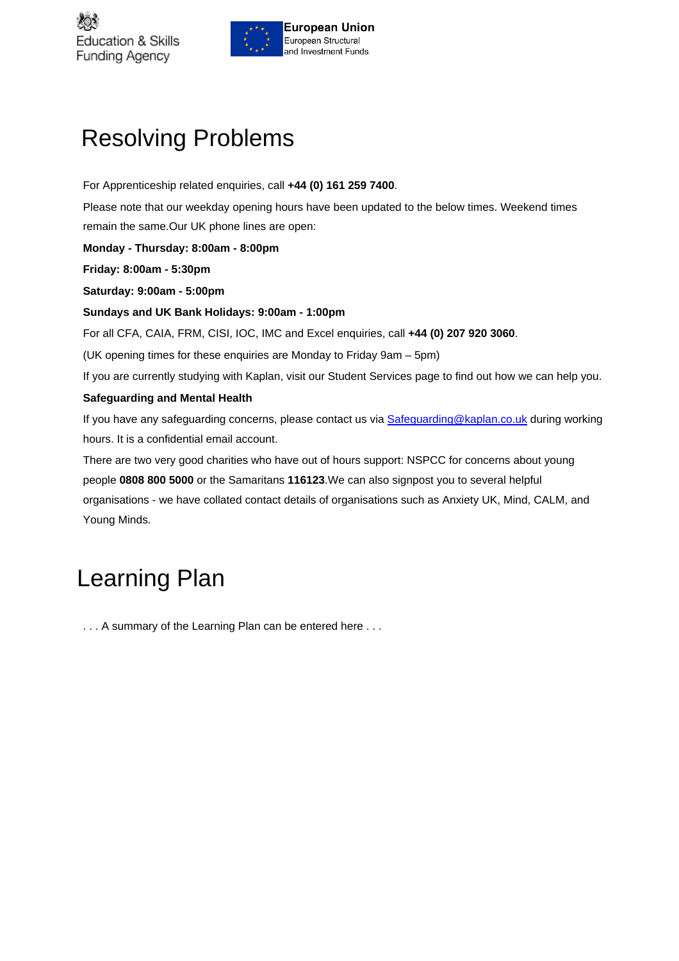



## Resolving Problems

For Apprenticeship related enquiries, call **+44 (0) 161 259 7400**. Please note that our weekday opening hours have been updated to the below times. Weekend times remain the same.Our UK phone lines are open: **Monday - Thursday: 8:00am - 8:00pm Friday: 8:00am - 5:30pm Saturday: 9:00am - 5:00pm Sundays and UK Bank Holidays: 9:00am - 1:00pm** For all CFA, CAIA, FRM, CISI, IOC, IMC and Excel enquiries, call **+44 (0) 207 920 3060**. (UK opening times for these enquiries are Monday to Friday 9am – 5pm) If you are currently studying with Kaplan, visit our Student Services page to find out how we can help you. **Safeguarding and Mental Health** If you have any safeguarding concerns, please contact us via [Safeguarding@kaplan.co.uk](mailto:Safeguarding@kaplan.co.uk) during working hours. It is a confidential email account. There are two very good charities who have out of hours support: NSPCC for concerns about young people **0808 800 5000** or the Samaritans **116123**.We can also signpost you to several helpful

organisations - we have collated contact details of organisations such as Anxiety UK, Mind, CALM, and Young Minds.

## Learning Plan

. . . A summary of the Learning Plan can be entered here . . .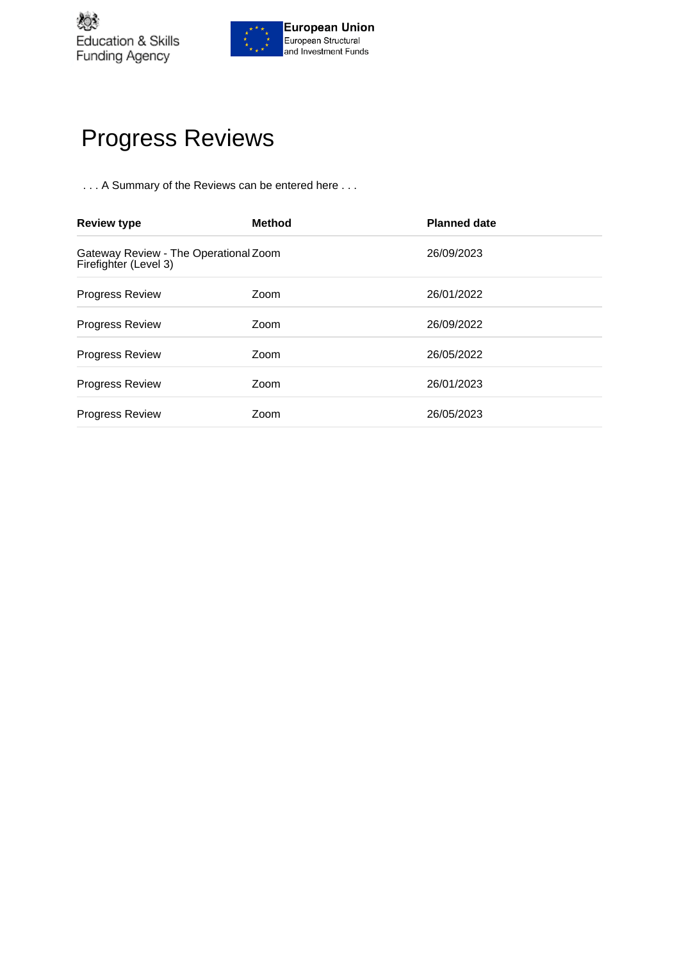

## Progress Reviews

. . . A Summary of the Reviews can be entered here . . .

| <b>Review type</b>                                             | <b>Method</b> | <b>Planned date</b> |
|----------------------------------------------------------------|---------------|---------------------|
| Gateway Review - The Operational Zoom<br>Firefighter (Level 3) |               | 26/09/2023          |
| <b>Progress Review</b>                                         | Zoom          | 26/01/2022          |
| <b>Progress Review</b>                                         | Zoom          | 26/09/2022          |
| <b>Progress Review</b>                                         | Zoom          | 26/05/2022          |
| <b>Progress Review</b>                                         | Zoom          | 26/01/2023          |
| <b>Progress Review</b>                                         | Zoom          | 26/05/2023          |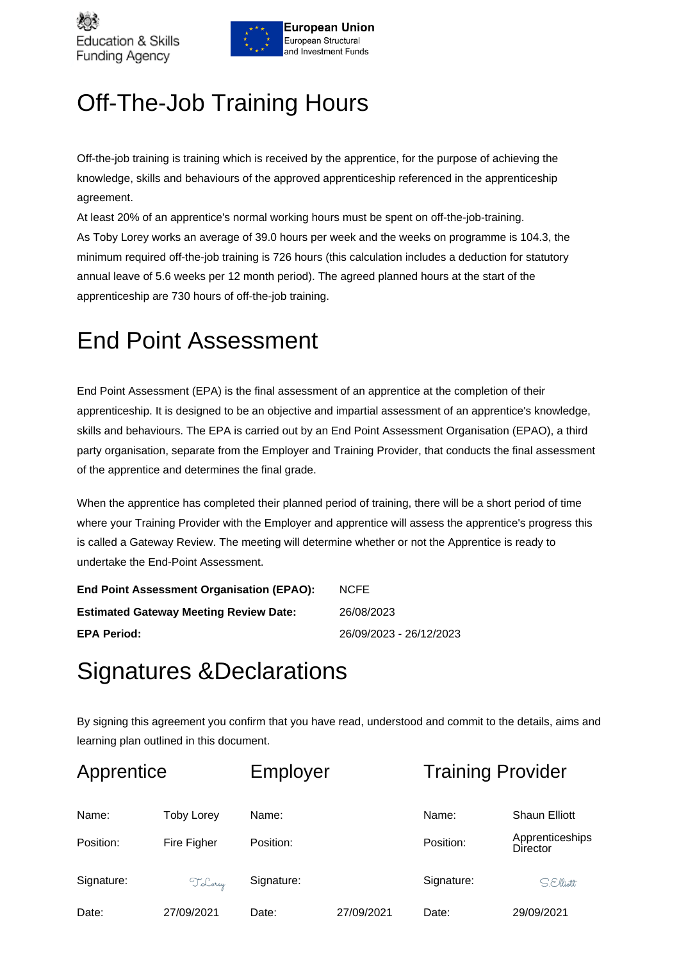



## Off-The-Job Training Hours

Off-the-job training is training which is received by the apprentice, for the purpose of achieving the knowledge, skills and behaviours of the approved apprenticeship referenced in the apprenticeship agreement.

At least 20% of an apprentice's normal working hours must be spent on off-the-job-training. As Toby Lorey works an average of 39.0 hours per week and the weeks on programme is 104.3, the minimum required off-the-job training is 726 hours (this calculation includes a deduction for statutory annual leave of 5.6 weeks per 12 month period). The agreed planned hours at the start of the apprenticeship are 730 hours of off-the-job training.

### End Point Assessment

End Point Assessment (EPA) is the final assessment of an apprentice at the completion of their apprenticeship. It is designed to be an objective and impartial assessment of an apprentice's knowledge, skills and behaviours. The EPA is carried out by an End Point Assessment Organisation (EPAO), a third party organisation, separate from the Employer and Training Provider, that conducts the final assessment of the apprentice and determines the final grade.

When the apprentice has completed their planned period of training, there will be a short period of time where your Training Provider with the Employer and apprentice will assess the apprentice's progress this is called a Gateway Review. The meeting will determine whether or not the Apprentice is ready to undertake the End-Point Assessment.

| End Point Assessment Organisation (EPAO):     | <b>NCFE</b>             |
|-----------------------------------------------|-------------------------|
| <b>Estimated Gateway Meeting Review Date:</b> | 26/08/2023              |
| <b>EPA Period:</b>                            | 26/09/2023 - 26/12/2023 |

### Signatures &Declarations

By signing this agreement you confirm that you have read, understood and commit to the details, aims and learning plan outlined in this document.

| Apprentice         |                                  | Employer           |            | <b>Training Provider</b> |                                                            |
|--------------------|----------------------------------|--------------------|------------|--------------------------|------------------------------------------------------------|
| Name:<br>Position: | <b>Toby Lorey</b><br>Fire Figher | Name:<br>Position: |            | Name:<br>Position:       | <b>Shaun Elliott</b><br>Apprenticeships<br><b>Director</b> |
| Signature:         | T. Lorey                         | Signature:         |            | Signature:               | SElliatt                                                   |
| Date:              | 27/09/2021                       | Date:              | 27/09/2021 | Date:                    | 29/09/2021                                                 |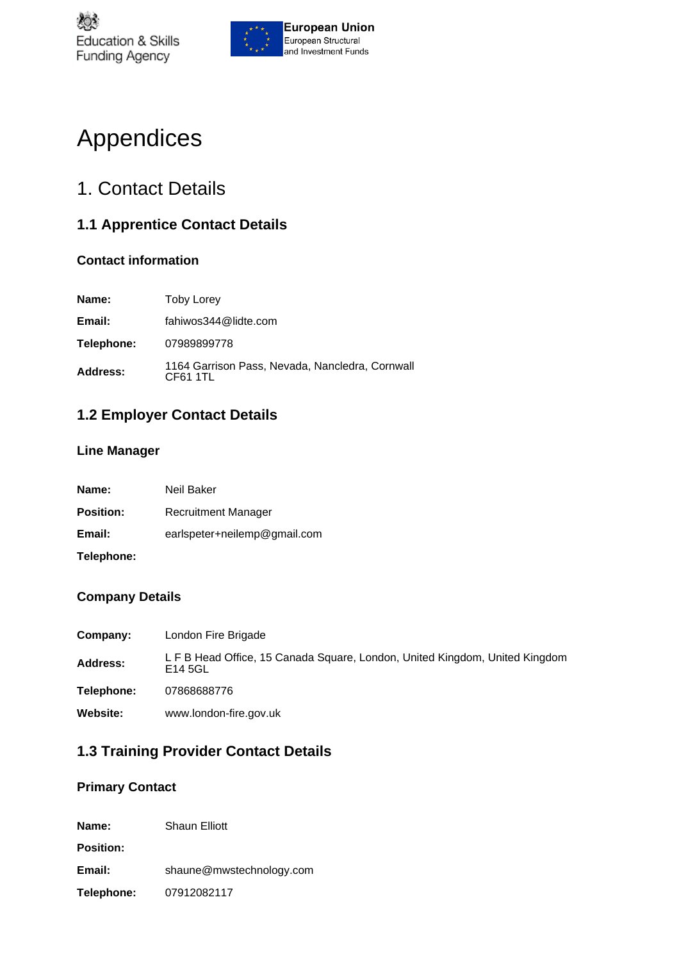

## Appendices

### 1. Contact Details

#### **1.1 Apprentice Contact Details**

#### **Contact information**

| Name:      | <b>Toby Lorey</b>                                           |
|------------|-------------------------------------------------------------|
| Email:     | fahiwos344@lidte.com                                        |
| Telephone: | 07989899778                                                 |
| Address:   | 1164 Garrison Pass, Nevada, Nancledra, Cornwall<br>CF61 1TL |

#### **1.2 Employer Contact Details**

#### **Line Manager**

| Name:            | Neil Baker                   |
|------------------|------------------------------|
| <b>Position:</b> | Recruitment Manager          |
| Email:           | earlspeter+neilemp@gmail.com |
| Telephone:       |                              |

#### **Company Details**

| Company:        | London Fire Brigade                                                                    |
|-----------------|----------------------------------------------------------------------------------------|
| <b>Address:</b> | L F B Head Office, 15 Canada Square, London, United Kingdom, United Kingdom<br>E14 5GL |
| Telephone:      | 07868688776                                                                            |
| <b>Website:</b> | www.london-fire.gov.uk                                                                 |

#### **1.3 Training Provider Contact Details**

#### **Primary Contact**

| Name:             | <b>Shaun Elliott</b>     |
|-------------------|--------------------------|
| <b>Position:</b>  |                          |
| Email:            | shaune@mwstechnology.com |
| <b>Telephone:</b> | 07912082117              |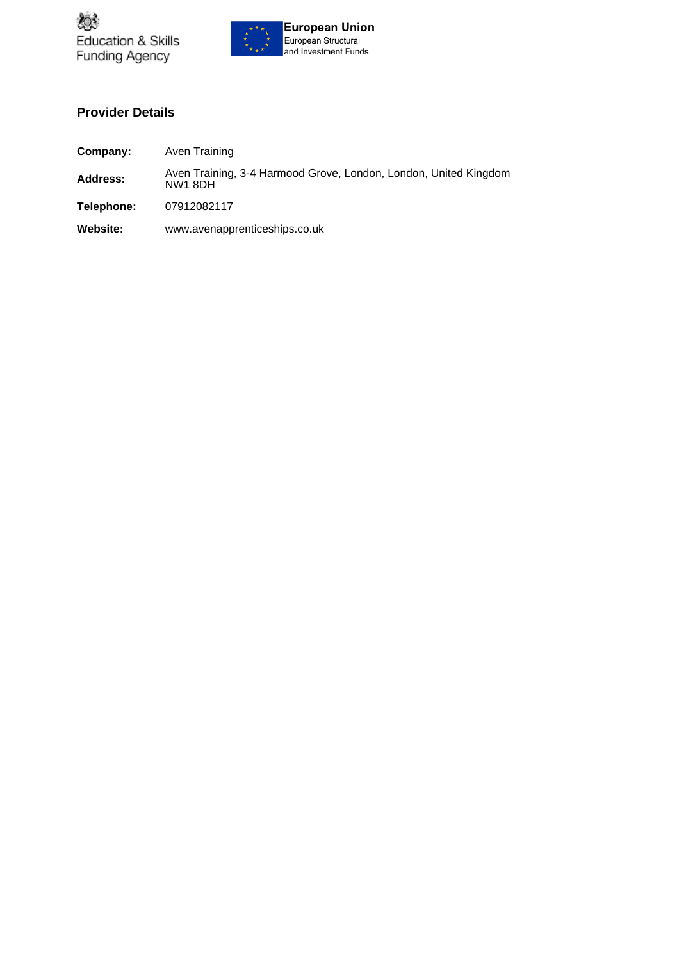



#### **Provider Details**

| Company:        | Aven Training                                                               |
|-----------------|-----------------------------------------------------------------------------|
| Address:        | Aven Training, 3-4 Harmood Grove, London, London, United Kingdom<br>NW1 8DH |
| Telephone:      | 07912082117                                                                 |
| <b>Website:</b> | www.avenapprenticeships.co.uk                                               |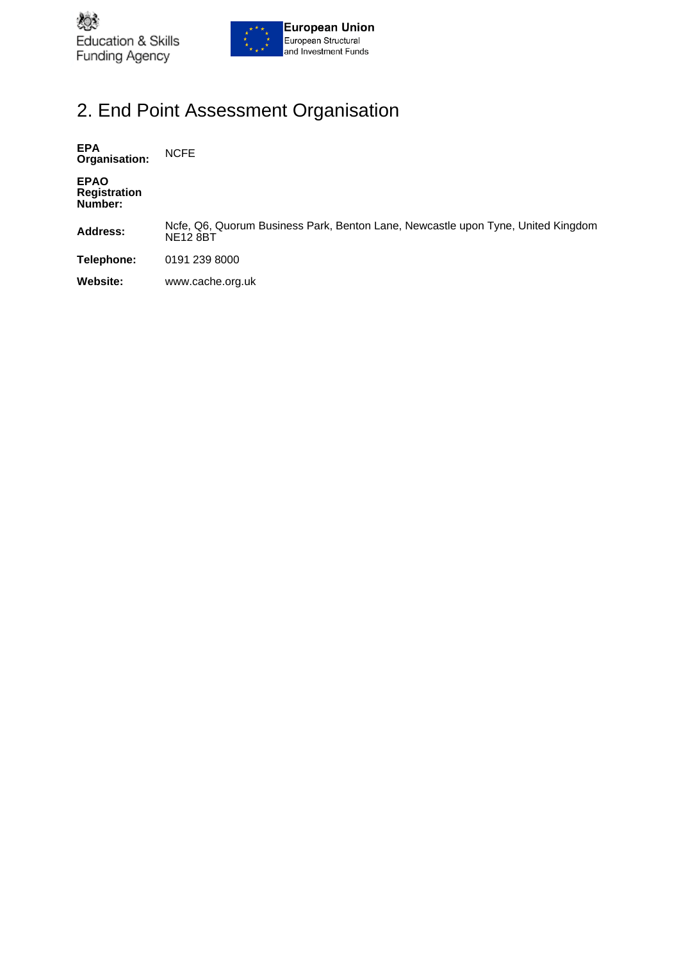



### 2. End Point Assessment Organisation

**EPA Organisation:** NCFE

**EPAO Registration Number:**

**Address:** Ncfe, Q6, Quorum Business Park, Benton Lane, Newcastle upon Tyne, United Kingdom NE12 8BT

**Telephone:** 0191 239 8000

**Website:** www.cache.org.uk